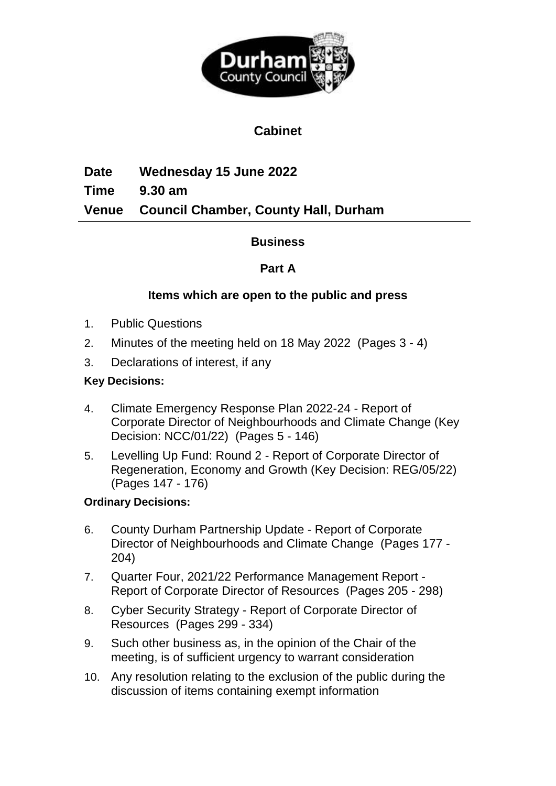

# **Cabinet**

**Date Wednesday 15 June 2022 Time 9.30 am Venue Council Chamber, County Hall, Durham**

## **Business**

## **Part A**

### **Items which are open to the public and press**

- 1. Public Questions
- 2. Minutes of the meeting held on 18 May 2022(Pages 3 4)
- 3. Declarations of interest, if any

#### **Key Decisions:**

- 4. Climate Emergency Response Plan 2022-24 Report of Corporate Director of Neighbourhoods and Climate Change (Key Decision: NCC/01/22)(Pages 5 - 146)
- 5. Levelling Up Fund: Round 2 Report of Corporate Director of Regeneration, Economy and Growth (Key Decision: REG/05/22) (Pages 147 - 176)

#### **Ordinary Decisions:**

- 6. County Durham Partnership Update Report of Corporate Director of Neighbourhoods and Climate Change(Pages 177 - 204)
- 7. Quarter Four, 2021/22 Performance Management Report Report of Corporate Director of Resources(Pages 205 - 298)
- 8. Cyber Security Strategy Report of Corporate Director of Resources(Pages 299 - 334)
- 9. Such other business as, in the opinion of the Chair of the meeting, is of sufficient urgency to warrant consideration
- 10. Any resolution relating to the exclusion of the public during the discussion of items containing exempt information